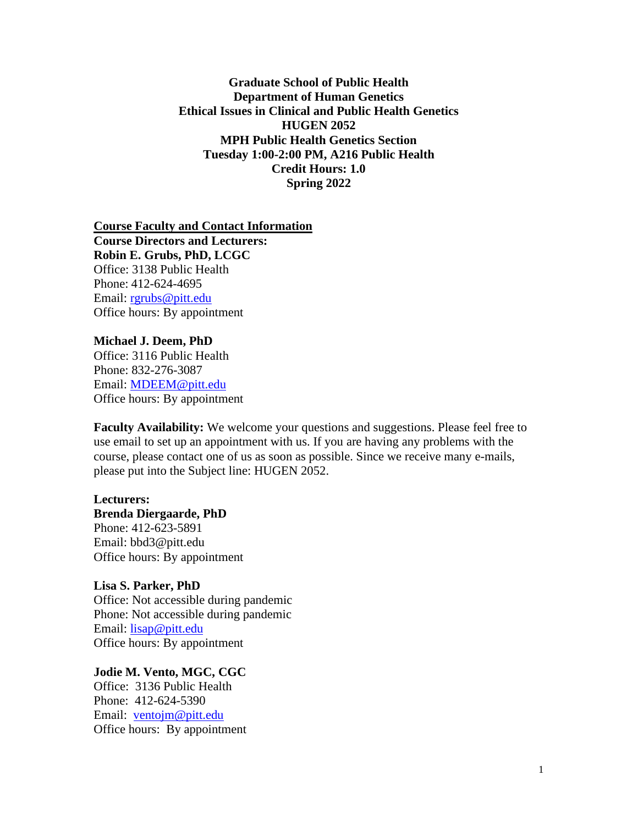**Graduate School of Public Health Department of Human Genetics Ethical Issues in Clinical and Public Health Genetics HUGEN 2052 MPH Public Health Genetics Section Tuesday 1:00-2:00 PM, A216 Public Health Credit Hours: 1.0 Spring 2022**

**Course Faculty and Contact Information Course Directors and Lecturers: Robin E. Grubs, PhD, LCGC** Office: 3138 Public Health Phone: 412-624-4695 Email: [rgrubs@pitt.edu](mailto:rgrubs@pitt.edu)  Office hours: By appointment

**Michael J. Deem, PhD** Office: 3116 Public Health Phone: 832-276-3087 Email: [MDEEM@pitt.edu](mailto:MDEEM@pitt.edu) Office hours: By appointment

**Faculty Availability:** We welcome your questions and suggestions. Please feel free to use email to set up an appointment with us. If you are having any problems with the course, please contact one of us as soon as possible. Since we receive many e-mails, please put into the Subject line: HUGEN 2052.

**Lecturers: Brenda Diergaarde, PhD** Phone: 412-623-5891 Email: bbd3@pitt.edu Office hours: By appointment

**Lisa S. Parker, PhD** Office: Not accessible during pandemic Phone: Not accessible during pandemic Email: [lisap@pitt.edu](mailto:lisap@pitt.edu;) Office hours: By appointment

**Jodie M. Vento, MGC, CGC** Office: 3136 Public Health Phone: 412-624-5390 Email: [ventojm@pitt.edu](mailto:ventojm@pitt.edu) Office hours: By appointment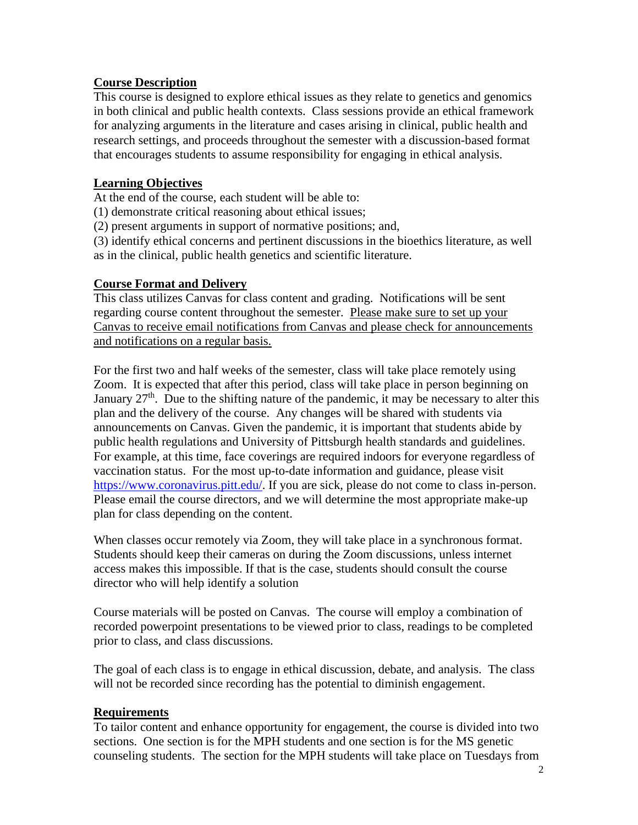# **Course Description**

This course is designed to explore ethical issues as they relate to genetics and genomics in both clinical and public health contexts. Class sessions provide an ethical framework for analyzing arguments in the literature and cases arising in clinical, public health and research settings, and proceeds throughout the semester with a discussion-based format that encourages students to assume responsibility for engaging in ethical analysis.

#### **Learning Objectives**

At the end of the course, each student will be able to:

(1) demonstrate critical reasoning about ethical issues;

(2) present arguments in support of normative positions; and,

(3) identify ethical concerns and pertinent discussions in the bioethics literature, as well as in the clinical, public health genetics and scientific literature.

#### **Course Format and Delivery**

This class utilizes Canvas for class content and grading. Notifications will be sent regarding course content throughout the semester. Please make sure to set up your Canvas to receive email notifications from Canvas and please check for announcements and notifications on a regular basis.

For the first two and half weeks of the semester, class will take place remotely using Zoom. It is expected that after this period, class will take place in person beginning on January  $27<sup>th</sup>$ . Due to the shifting nature of the pandemic, it may be necessary to alter this plan and the delivery of the course. Any changes will be shared with students via announcements on Canvas. Given the pandemic, it is important that students abide by public health regulations and University of Pittsburgh health standards and guidelines. For example, at this time, face coverings are required indoors for everyone regardless of vaccination status. For the most up-to-date information and guidance, please visit [https://www.coronavirus.pitt.edu/.](https://www.coronavirus.pitt.edu/) If you are sick, please do not come to class in-person. Please email the course directors, and we will determine the most appropriate make-up plan for class depending on the content.

When classes occur remotely via Zoom, they will take place in a synchronous format. Students should keep their cameras on during the Zoom discussions, unless internet access makes this impossible. If that is the case, students should consult the course director who will help identify a solution

Course materials will be posted on Canvas. The course will employ a combination of recorded powerpoint presentations to be viewed prior to class, readings to be completed prior to class, and class discussions.

The goal of each class is to engage in ethical discussion, debate, and analysis. The class will not be recorded since recording has the potential to diminish engagement.

#### **Requirements**

To tailor content and enhance opportunity for engagement, the course is divided into two sections. One section is for the MPH students and one section is for the MS genetic counseling students. The section for the MPH students will take place on Tuesdays from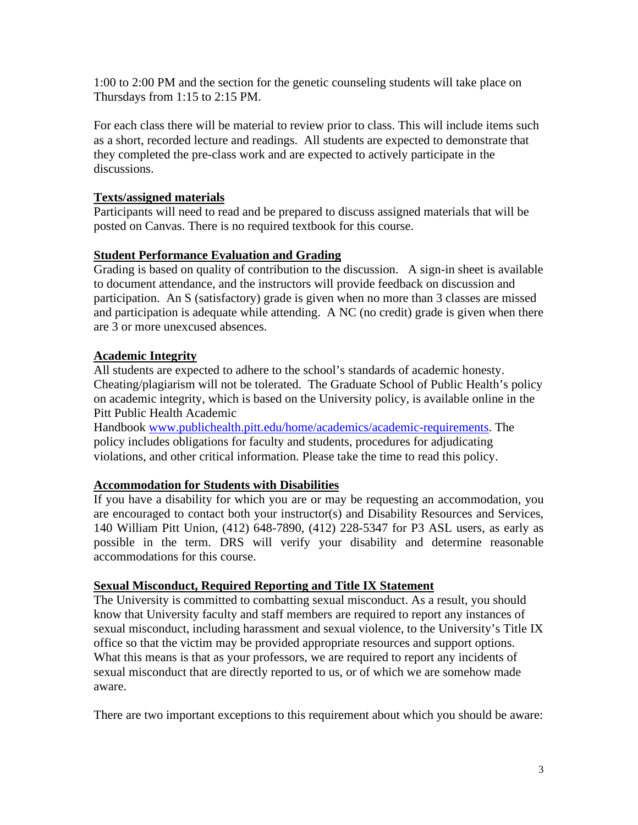1:00 to 2:00 PM and the section for the genetic counseling students will take place on Thursdays from 1:15 to 2:15 PM.

For each class there will be material to review prior to class. This will include items such as a short, recorded lecture and readings. All students are expected to demonstrate that they completed the pre-class work and are expected to actively participate in the discussions.

#### **Texts/assigned materials**

Participants will need to read and be prepared to discuss assigned materials that will be posted on Canvas. There is no required textbook for this course.

# **Student Performance Evaluation and Grading**

Grading is based on quality of contribution to the discussion. A sign-in sheet is available to document attendance, and the instructors will provide feedback on discussion and participation. An S (satisfactory) grade is given when no more than 3 classes are missed and participation is adequate while attending. A NC (no credit) grade is given when there are 3 or more unexcused absences.

# **Academic Integrity**

All students are expected to adhere to the school's standards of academic honesty. Cheating/plagiarism will not be tolerated. The Graduate School of Public Health's policy on academic integrity, which is based on the University policy, is available online in the Pitt Public Health Academic

Handbook [www.publichealth.pitt.edu/home/academics/academic-requirements.](https://na01.safelinks.protection.outlook.com/?url=http%3A%2F%2Fwww.publichealth.pitt.edu%2Fhome%2Facademics%2Facademic-requirements&data=01%7C01%7CRobin.Leaf%40pitt.edu%7Cd2b682f8df1344a1488b08d5f7078713%7C9ef9f489e0a04eeb87cc3a526112fd0d%7C1&sdata=6ufA2nSlUetTPqxC3zE70WlE7mLMvNKznCNB7nQHwj0%3D&reserved=0) The policy includes obligations for faculty and students, procedures for adjudicating violations, and other critical information. Please take the time to read this policy.

# **Accommodation for Students with Disabilities**

If you have a disability for which you are or may be requesting an accommodation, you are encouraged to contact both your instructor(s) and Disability Resources and Services, 140 William Pitt Union, (412) 648-7890, (412) 228-5347 for P3 ASL users, as early as possible in the term. DRS will verify your disability and determine reasonable accommodations for this course.

#### **Sexual Misconduct, Required Reporting and Title IX Statement**

The University is committed to combatting sexual misconduct. As a result, you should know that University faculty and staff members are required to report any instances of sexual misconduct, including harassment and sexual violence, to the University's Title IX office so that the victim may be provided appropriate resources and support options. What this means is that as your professors, we are required to report any incidents of sexual misconduct that are directly reported to us, or of which we are somehow made aware.

There are two important exceptions to this requirement about which you should be aware: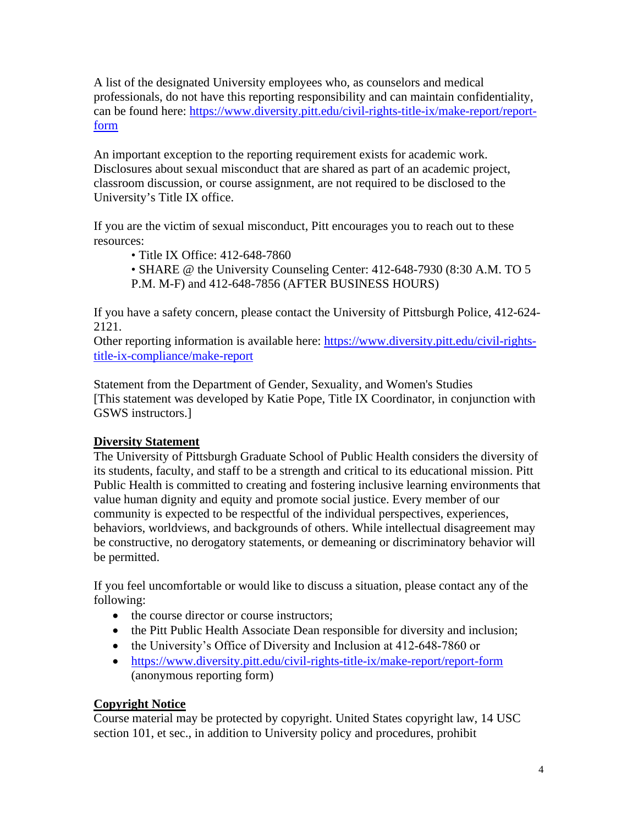A list of the designated University employees who, as counselors and medical professionals, do not have this reporting responsibility and can maintain confidentiality, can be found here: [https://www.diversity.pitt.edu/civil-rights-title-ix/make-report/report](https://www.diversity.pitt.edu/civil-rights-title-ix/make-report/report-form)[form](https://www.diversity.pitt.edu/civil-rights-title-ix/make-report/report-form)

An important exception to the reporting requirement exists for academic work. Disclosures about sexual misconduct that are shared as part of an academic project, classroom discussion, or course assignment, are not required to be disclosed to the University's Title IX office.

If you are the victim of sexual misconduct, Pitt encourages you to reach out to these resources:

• Title IX Office: 412-648-7860

• SHARE @ the University Counseling Center: 412-648-7930 (8:30 A.M. TO 5 P.M. M-F) and 412-648-7856 (AFTER BUSINESS HOURS)

If you have a safety concern, please contact the University of Pittsburgh Police, 412-624- 2121.

Other reporting information is available here: [https://www.diversity.pitt.edu/civil-rights](https://www.diversity.pitt.edu/civil-rights-title-ix-compliance/make-report)[title-ix-compliance/make-report](https://www.diversity.pitt.edu/civil-rights-title-ix-compliance/make-report)

Statement from the Department of Gender, Sexuality, and Women's Studies [This statement was developed by Katie Pope, Title IX Coordinator, in conjunction with GSWS instructors.]

# **Diversity Statement**

The University of Pittsburgh Graduate School of Public Health considers the diversity of its students, faculty, and staff to be a strength and critical to its educational mission. Pitt Public Health is committed to creating and fostering inclusive learning environments that value human dignity and equity and promote social justice. Every member of our community is expected to be respectful of the individual perspectives, experiences, behaviors, worldviews, and backgrounds of others. While intellectual disagreement may be constructive, no derogatory statements, or demeaning or discriminatory behavior will be permitted.

If you feel uncomfortable or would like to discuss a situation, please contact any of the following:

- the course director or course instructors;
- the Pitt Public Health Associate Dean responsible for diversity and inclusion;
- the University's Office of Diversity and Inclusion at 412-648-7860 or
- <https://www.diversity.pitt.edu/civil-rights-title-ix/make-report/report-form> (anonymous reporting form)

# **Copyright Notice**

Course material may be protected by copyright. United States copyright law, 14 USC section 101, et sec., in addition to University policy and procedures, prohibit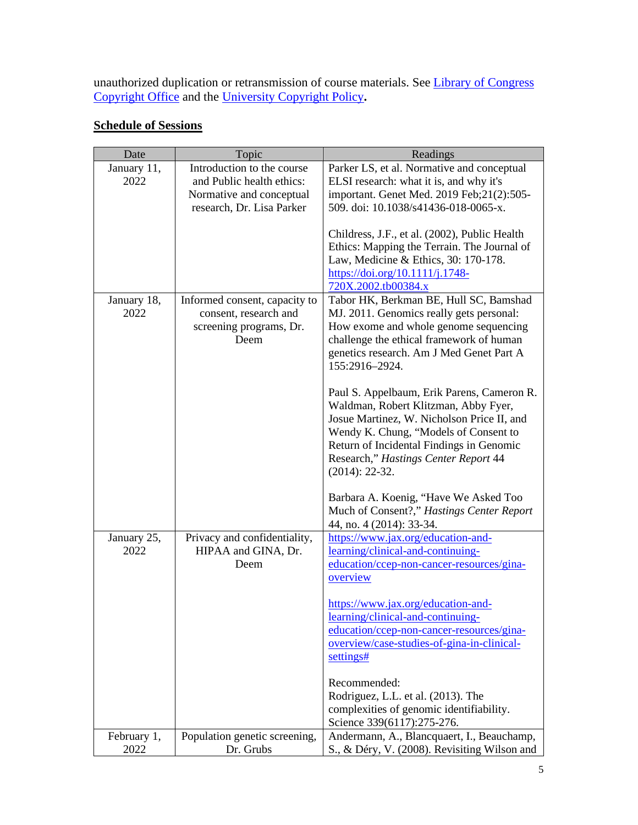unauthorized duplication or retransmission of course materials. See *Library of Congress* [Copyright Office](http://www.copyright.gov/) and the [University Copyright Policy](https://www.policy.pitt.edu/cs-03-copying-copyrighted-material-formerly-10-04-01)**.**

| <b>Schedule of Sessions</b> |  |
|-----------------------------|--|
|                             |  |

| Date                | Topic                                                                                     | Readings                                                                                                                                                                                                                                                                          |
|---------------------|-------------------------------------------------------------------------------------------|-----------------------------------------------------------------------------------------------------------------------------------------------------------------------------------------------------------------------------------------------------------------------------------|
| January 11,         | Introduction to the course                                                                | Parker LS, et al. Normative and conceptual                                                                                                                                                                                                                                        |
| 2022                | and Public health ethics:                                                                 | ELSI research: what it is, and why it's                                                                                                                                                                                                                                           |
|                     | Normative and conceptual                                                                  | important. Genet Med. 2019 Feb;21(2):505-                                                                                                                                                                                                                                         |
|                     | research, Dr. Lisa Parker                                                                 | 509. doi: 10.1038/s41436-018-0065-x.                                                                                                                                                                                                                                              |
|                     |                                                                                           | Childress, J.F., et al. (2002), Public Health<br>Ethics: Mapping the Terrain. The Journal of<br>Law, Medicine & Ethics, 30: 170-178.<br>https://doi.org/10.1111/j.1748-<br>720X.2002.tb00384.x                                                                                    |
| January 18,<br>2022 | Informed consent, capacity to<br>consent, research and<br>screening programs, Dr.<br>Deem | Tabor HK, Berkman BE, Hull SC, Bamshad<br>MJ. 2011. Genomics really gets personal:<br>How exome and whole genome sequencing<br>challenge the ethical framework of human<br>genetics research. Am J Med Genet Part A<br>155:2916-2924.                                             |
|                     |                                                                                           | Paul S. Appelbaum, Erik Parens, Cameron R.<br>Waldman, Robert Klitzman, Abby Fyer,<br>Josue Martinez, W. Nicholson Price II, and<br>Wendy K. Chung, "Models of Consent to<br>Return of Incidental Findings in Genomic<br>Research," Hastings Center Report 44<br>$(2014): 22-32.$ |
|                     |                                                                                           | Barbara A. Koenig, "Have We Asked Too<br>Much of Consent?," Hastings Center Report<br>44, no. 4 (2014): 33-34.                                                                                                                                                                    |
| January 25,<br>2022 | Privacy and confidentiality,<br>HIPAA and GINA, Dr.<br>Deem                               | https://www.jax.org/education-and-<br>learning/clinical-and-continuing-<br>education/ccep-non-cancer-resources/gina-<br>overview                                                                                                                                                  |
|                     |                                                                                           | https://www.jax.org/education-and-<br>learning/clinical-and-continuing-<br>education/ccep-non-cancer-resources/gina-<br>overview/case-studies-of-gina-in-clinical-<br>settings#                                                                                                   |
|                     |                                                                                           | Recommended:<br>Rodriguez, L.L. et al. (2013). The<br>complexities of genomic identifiability.<br>Science 339(6117):275-276.                                                                                                                                                      |
| February 1,<br>2022 | Population genetic screening,<br>Dr. Grubs                                                | Andermann, A., Blancquaert, I., Beauchamp,<br>S., & Déry, V. (2008). Revisiting Wilson and                                                                                                                                                                                        |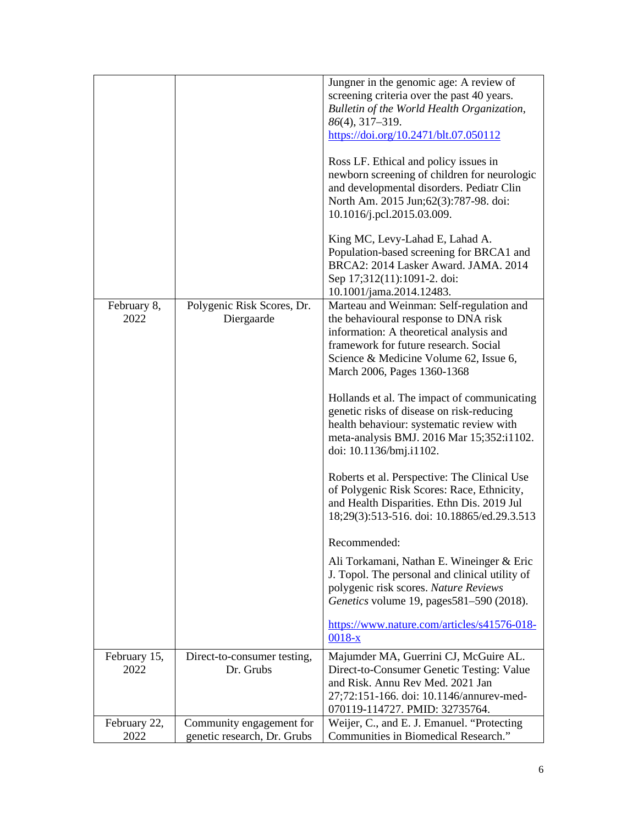|              |                             | Jungner in the genomic age: A review of                                                                                                                                                                      |
|--------------|-----------------------------|--------------------------------------------------------------------------------------------------------------------------------------------------------------------------------------------------------------|
|              |                             | screening criteria over the past 40 years.                                                                                                                                                                   |
|              |                             | Bulletin of the World Health Organization,                                                                                                                                                                   |
|              |                             | $86(4)$ , 317-319.                                                                                                                                                                                           |
|              |                             | https://doi.org/10.2471/blt.07.050112                                                                                                                                                                        |
|              |                             | Ross LF. Ethical and policy issues in<br>newborn screening of children for neurologic<br>and developmental disorders. Pediatr Clin<br>North Am. 2015 Jun; 62(3): 787-98. doi:<br>10.1016/j.pcl.2015.03.009.  |
|              |                             | King MC, Levy-Lahad E, Lahad A.<br>Population-based screening for BRCA1 and<br>BRCA2: 2014 Lasker Award. JAMA. 2014<br>Sep 17;312(11):1091-2. doi:<br>10.1001/jama.2014.12483.                               |
| February 8,  | Polygenic Risk Scores, Dr.  | Marteau and Weinman: Self-regulation and                                                                                                                                                                     |
| 2022         | Diergaarde                  | the behavioural response to DNA risk                                                                                                                                                                         |
|              |                             | information: A theoretical analysis and                                                                                                                                                                      |
|              |                             | framework for future research. Social                                                                                                                                                                        |
|              |                             | Science & Medicine Volume 62, Issue 6,<br>March 2006, Pages 1360-1368                                                                                                                                        |
|              |                             | Hollands et al. The impact of communicating<br>genetic risks of disease on risk-reducing<br>health behaviour: systematic review with<br>meta-analysis BMJ. 2016 Mar 15;352:i1102.<br>doi: 10.1136/bmj.i1102. |
|              |                             | Roberts et al. Perspective: The Clinical Use<br>of Polygenic Risk Scores: Race, Ethnicity,<br>and Health Disparities. Ethn Dis. 2019 Jul<br>18;29(3):513-516. doi: 10.18865/ed.29.3.513                      |
|              |                             | Recommended:                                                                                                                                                                                                 |
|              |                             | Ali Torkamani, Nathan E. Wineinger & Eric<br>J. Topol. The personal and clinical utility of<br>polygenic risk scores. Nature Reviews<br>Genetics volume 19, pages581-590 (2018).                             |
|              |                             | https://www.nature.com/articles/s41576-018-<br>$0018 - x$                                                                                                                                                    |
| February 15, | Direct-to-consumer testing, | Majumder MA, Guerrini CJ, McGuire AL.                                                                                                                                                                        |
| 2022         | Dr. Grubs                   | Direct-to-Consumer Genetic Testing: Value                                                                                                                                                                    |
|              |                             | and Risk. Annu Rev Med. 2021 Jan                                                                                                                                                                             |
|              |                             | 27;72:151-166. doi: 10.1146/annurev-med-                                                                                                                                                                     |
|              |                             | 070119-114727. PMID: 32735764.                                                                                                                                                                               |
| February 22, | Community engagement for    | Weijer, C., and E. J. Emanuel. "Protecting                                                                                                                                                                   |
| 2022         | genetic research, Dr. Grubs | Communities in Biomedical Research."                                                                                                                                                                         |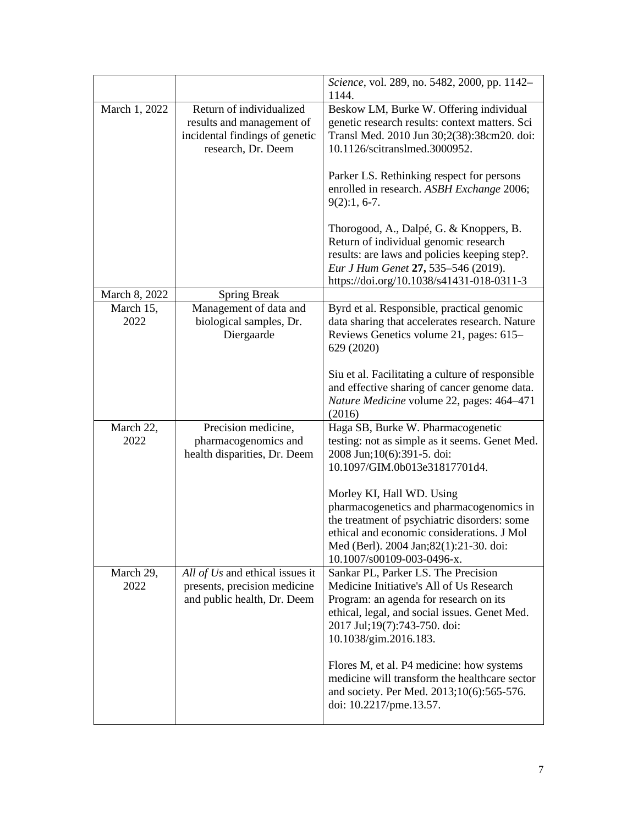|                   |                                                                                                               | Science, vol. 289, no. 5482, 2000, pp. 1142-<br>1144.                                                                                                                                                                                                              |
|-------------------|---------------------------------------------------------------------------------------------------------------|--------------------------------------------------------------------------------------------------------------------------------------------------------------------------------------------------------------------------------------------------------------------|
| March 1, 2022     | Return of individualized<br>results and management of<br>incidental findings of genetic<br>research, Dr. Deem | Beskow LM, Burke W. Offering individual<br>genetic research results: context matters. Sci<br>Transl Med. 2010 Jun 30;2(38):38cm20. doi:<br>10.1126/scitranslmed.3000952.<br>Parker LS. Rethinking respect for persons<br>enrolled in research. ASBH Exchange 2006; |
| March 8, 2022     | <b>Spring Break</b>                                                                                           | $9(2):1, 6-7.$<br>Thorogood, A., Dalpé, G. & Knoppers, B.<br>Return of individual genomic research<br>results: are laws and policies keeping step?.<br>Eur J Hum Genet 27, 535-546 (2019).<br>https://doi.org/10.1038/s41431-018-0311-3                            |
| March 15,         | Management of data and                                                                                        | Byrd et al. Responsible, practical genomic                                                                                                                                                                                                                         |
| 2022              | biological samples, Dr.<br>Diergaarde                                                                         | data sharing that accelerates research. Nature<br>Reviews Genetics volume 21, pages: 615-<br>629 (2020)                                                                                                                                                            |
|                   |                                                                                                               | Siu et al. Facilitating a culture of responsible<br>and effective sharing of cancer genome data.<br>Nature Medicine volume 22, pages: 464-471<br>(2016)                                                                                                            |
| March 22,<br>2022 | Precision medicine,<br>pharmacogenomics and<br>health disparities, Dr. Deem                                   | Haga SB, Burke W. Pharmacogenetic<br>testing: not as simple as it seems. Genet Med.<br>2008 Jun; 10(6): 391-5. doi:<br>10.1097/GIM.0b013e31817701d4.                                                                                                               |
|                   |                                                                                                               | Morley KI, Hall WD. Using<br>pharmacogenetics and pharmacogenomics in<br>the treatment of psychiatric disorders: some<br>ethical and economic considerations. J Mol<br>Med (Berl). 2004 Jan;82(1):21-30. doi:<br>10.1007/s00109-003-0496-x.                        |
| March 29,<br>2022 | All of Us and ethical issues it<br>presents, precision medicine<br>and public health, Dr. Deem                | Sankar PL, Parker LS. The Precision<br>Medicine Initiative's All of Us Research<br>Program: an agenda for research on its<br>ethical, legal, and social issues. Genet Med.<br>2017 Jul;19(7):743-750. doi:<br>10.1038/gim.2016.183.                                |
|                   |                                                                                                               | Flores M, et al. P4 medicine: how systems<br>medicine will transform the healthcare sector<br>and society. Per Med. 2013;10(6):565-576.<br>doi: 10.2217/pme.13.57.                                                                                                 |